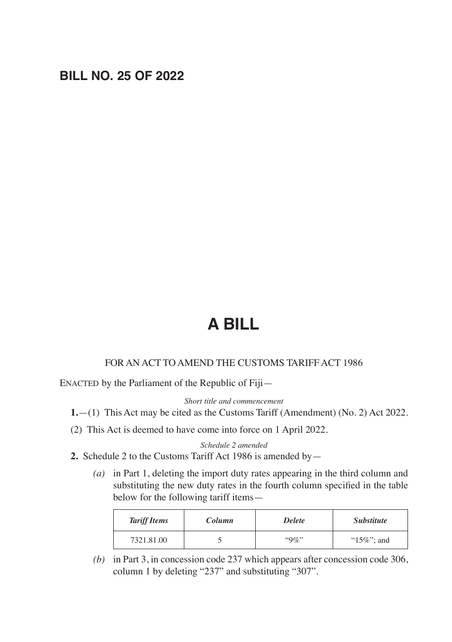# **BILL NO. 25 OF 2022**

# **A BILL**

#### FOR AN ACT TO AMEND THE CUSTOMS TARIFF ACT 1986

ENACTED by the Parliament of the Republic of Fiji—

*Short title and commencement*

**1.**—(1) This Act may be cited as the Customs Tariff (Amendment) (No. 2) Act 2022.

(2) This Act is deemed to have come into force on 1 April 2022.

*Schedule 2 amended*

- **2.** Schedule 2 to the Customs Tariff Act 1986 is amended by—
	- *(a)* in Part 1, deleting the import duty rates appearing in the third column and substituting the new duty rates in the fourth column specified in the table below for the following tariff items—

| <b>Tariff Items</b> | Column | <b>Delete</b> | <i>Substitute</i> |
|---------------------|--------|---------------|-------------------|
| 7321.81.00          |        | $"9\%"$       | " $15\%$ "; and   |

*(b)* in Part 3, in concession code 237 which appears after concession code 306, column 1 by deleting "237" and substituting "307".